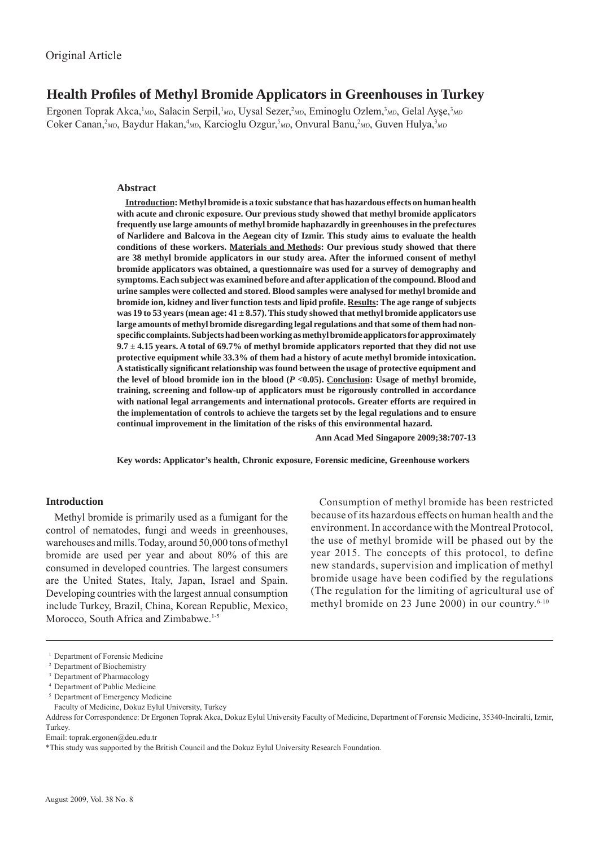# **Health Profi les of Methyl Bromide Applicators in Greenhouses in Turkey**

Ergonen Toprak Akca,<sup>1</sup>MD, Salacin Serpil,<sup>1</sup>MD, Uysal Sezer,<sup>2</sup>MD, Eminoglu Ozlem,<sup>3</sup>MD, Gelal Ayşe,<sup>3</sup>MD Coker Canan,<sup>2</sup>MD, Baydur Hakan,<sup>4</sup>MD, Karcioglu Ozgur,<sup>5</sup>MD, Onvural Banu,<sup>2</sup>MD, Guven Hulya,<sup>3</sup>MD

### **Abstract**

**Introduction: Methyl bromide is a toxic substance that has hazardous effects on human health with acute and chronic exposure. Our previous study showed that methyl bromide applicators frequently use large amounts of methyl bromide haphazardly in greenhouses in the prefectures of Narlidere and Balcova in the Aegean city of Izmir. This study aims to evaluate the health conditions of these workers. Materials and Methods: Our previous study showed that there are 38 methyl bromide applicators in our study area. After the informed consent of methyl bromide applicators was obtained, a questionnaire was used for a survey of demography and symptoms. Each subject was examined before and after application of the compound. Blood and urine samples were collected and stored. Blood samples were analysed for methyl bromide and bromide ion, kidney and liver function tests and lipid profi le. Results: The age range of subjects**  was 19 to 53 years (mean age:  $41 \pm 8.57$ ). This study showed that methyl bromide applicators use **large amounts of methyl bromide disregarding legal regulations and that some of them had nonspecifi c complaints. Subjects had been working as methyl bromide applicators for approximately 9.7 ± 4.15 years. A total of 69.7% of methyl bromide applicators reported that they did not use protective equipment while 33.3% of them had a history of acute methyl bromide intoxication. A statistically signifi cant relationship was found between the usage of protective equipment and the level of blood bromide ion in the blood (***P* **<0.05). Conclusion: Usage of methyl bromide, training, screening and follow-up of applicators must be rigorously controlled in accordance with national legal arrangements and international protocols. Greater efforts are required in the implementation of controls to achieve the targets set by the legal regulations and to ensure continual improvement in the limitation of the risks of this environmental hazard.**

**Ann Acad Med Singapore 2009;38:707-13**

**Key words: Applicator's health, Chronic exposure, Forensic medicine, Greenhouse workers**

## **Introduction**

Methyl bromide is primarily used as a fumigant for the control of nematodes, fungi and weeds in greenhouses, warehouses and mills. Today, around 50,000 tons of methyl bromide are used per year and about 80% of this are consumed in developed countries. The largest consumers are the United States, Italy, Japan, Israel and Spain. Developing countries with the largest annual consumption include Turkey, Brazil, China, Korean Republic, Mexico, Morocco, South Africa and Zimbabwe.<sup>1-5</sup>

Consumption of methyl bromide has been restricted because of its hazardous effects on human health and the environment. In accordance with the Montreal Protocol, the use of methyl bromide will be phased out by the year 2015. The concepts of this protocol, to define new standards, supervision and implication of methyl bromide usage have been codified by the regulations (The regulation for the limiting of agricultural use of methyl bromide on 23 June 2000) in our country.<sup>6-10</sup>

<sup>&</sup>lt;sup>1</sup> Department of Forensic Medicine

 <sup>2</sup> Department of Biochemistry

<sup>&</sup>lt;sup>3</sup> Department of Pharmacology

 <sup>4</sup> Department of Public Medicine

<sup>&</sup>lt;sup>5</sup> Department of Emergency Medicine

Faculty of Medicine, Dokuz Eylul University, Turkey

Address for Correspondence: Dr Ergonen Toprak Akca, Dokuz Eylul University Faculty of Medicine, Department of Forensic Medicine, 35340-Inciralti, Izmir, **Turkey** 

Email: toprak.ergonen@deu.edu.tr

<sup>\*</sup>This study was supported by the British Council and the Dokuz Eylul University Research Foundation.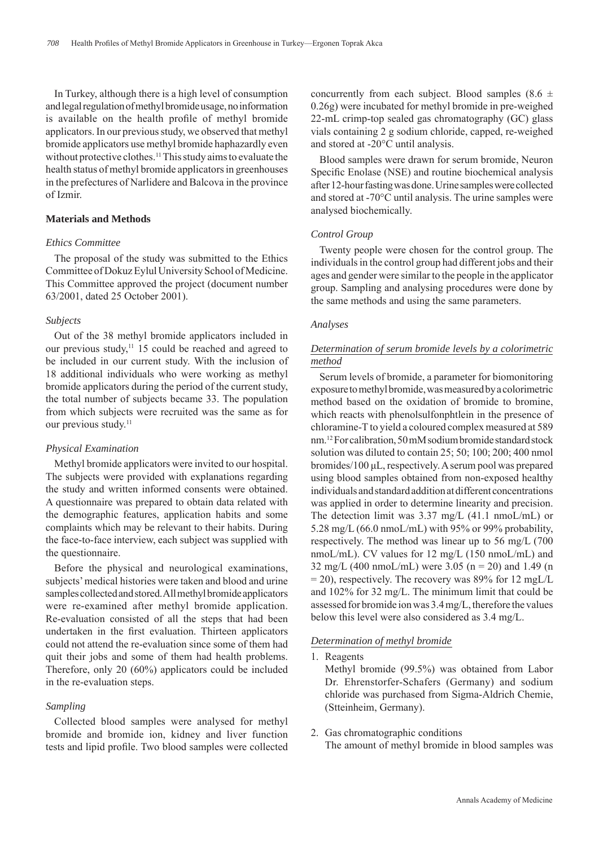In Turkey, although there is a high level of consumption and legal regulation of methyl bromide usage, no information is available on the health profile of methyl bromide applicators. In our previous study, we observed that methyl bromide applicators use methyl bromide haphazardly even without protective clothes.<sup>11</sup> This study aims to evaluate the health status of methyl bromide applicators in greenhouses in the prefectures of Narlidere and Balcova in the province of Izmir.

### **Materials and Methods**

#### *Ethics Committee*

The proposal of the study was submitted to the Ethics Committee of Dokuz Eylul University School of Medicine. This Committee approved the project (document number 63/2001, dated 25 October 2001).

#### *Subjects*

Out of the 38 methyl bromide applicators included in our previous study, $\frac{11}{15}$  could be reached and agreed to be included in our current study. With the inclusion of 18 additional individuals who were working as methyl bromide applicators during the period of the current study, the total number of subjects became 33. The population from which subjects were recruited was the same as for our previous study.<sup>11</sup>

#### *Physical Examination*

Methyl bromide applicators were invited to our hospital. The subjects were provided with explanations regarding the study and written informed consents were obtained. A questionnaire was prepared to obtain data related with the demographic features, application habits and some complaints which may be relevant to their habits. During the face-to-face interview, each subject was supplied with the questionnaire.

Before the physical and neurological examinations, subjects' medical histories were taken and blood and urine samples collected and stored. All methyl bromide applicators were re-examined after methyl bromide application. Re-evaluation consisted of all the steps that had been undertaken in the first evaluation. Thirteen applicators could not attend the re-evaluation since some of them had quit their jobs and some of them had health problems. Therefore, only 20 (60%) applicators could be included in the re-evaluation steps.

#### *Sampling*

Collected blood samples were analysed for methyl bromide and bromide ion, kidney and liver function tests and lipid profile. Two blood samples were collected concurrently from each subject. Blood samples (8.6  $\pm$ 0.26g) were incubated for methyl bromide in pre-weighed 22-mL crimp-top sealed gas chromatography (GC) glass vials containing 2 g sodium chloride, capped, re-weighed and stored at -20°C until analysis.

Blood samples were drawn for serum bromide, Neuron Specific Enolase (NSE) and routine biochemical analysis after 12-hour fasting was done. Urine samples were collected and stored at -70°C until analysis. The urine samples were analysed biochemically.

#### *Control Group*

Twenty people were chosen for the control group. The individuals in the control group had different jobs and their ages and gender were similar to the people in the applicator group. Sampling and analysing procedures were done by the same methods and using the same parameters.

### *Analyses*

# *Determination of serum bromide levels by a colorimetric method*

Serum levels of bromide, a parameter for biomonitoring exposure to methyl bromide, was measured by a colorimetric method based on the oxidation of bromide to bromine, which reacts with phenolsulfonphtlein in the presence of chloramine-T to yield a coloured complex measured at 589 nm.12 For calibration, 50 mM sodium bromide standard stock solution was diluted to contain 25; 50; 100; 200; 400 nmol bromides/100 μL, respectively. A serum pool was prepared using blood samples obtained from non-exposed healthy individuals and standard addition at different concentrations was applied in order to determine linearity and precision. The detection limit was 3.37 mg/L (41.1 nmoL/mL) or 5.28 mg/L (66.0 nmoL/mL) with 95% or 99% probability, respectively. The method was linear up to 56 mg/L (700 nmoL/mL). CV values for 12 mg/L (150 nmoL/mL) and 32 mg/L (400 nmoL/mL) were 3.05 (n = 20) and 1.49 (n  $= 20$ ), respectively. The recovery was 89% for 12 mgL/L and 102% for 32 mg/L. The minimum limit that could be assessed for bromide ion was 3.4 mg/L, therefore the values below this level were also considered as 3.4 mg/L.

### *Determination of methyl bromide*

#### 1. Reagents

 Methyl bromide (99.5%) was obtained from Labor Dr. Ehrenstorfer-Schafers (Germany) and sodium chloride was purchased from Sigma-Aldrich Chemie, (Stteinheim, Germany).

2. Gas chromatographic conditions The amount of methyl bromide in blood samples was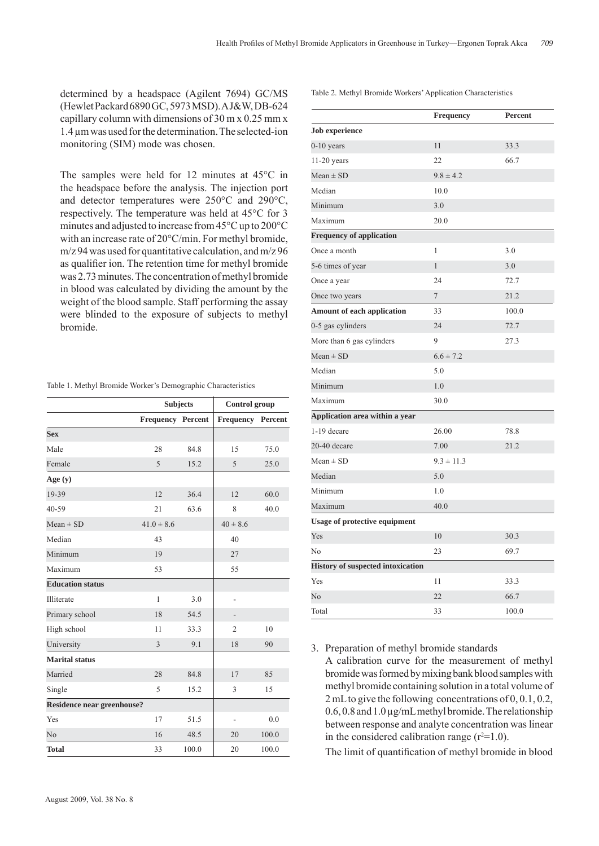Table 2. Methyl Bromide Workers' Application Characteristics

determined by a headspace (Agilent 7694) GC/MS (Hewlet Packard 6890 GC, 5973 MSD). A J&W, DB-624 capillary column with dimensions of 30 m x 0.25 mm x 1.4 μm was used for the determination. The selected-ion monitoring (SIM) mode was chosen.

 The samples were held for 12 minutes at 45°C in the headspace before the analysis. The injection port and detector temperatures were 250°C and 290°C, respectively. The temperature was held at 45°C for 3 minutes and adjusted to increase from 45°C up to 200°C with an increase rate of 20°C/min. For methyl bromide, m/z 94 was used for quantitative calculation, and m/z 96 as qualifier ion. The retention time for methyl bromide was 2.73 minutes. The concentration of methyl bromide in blood was calculated by dividing the amount by the weight of the blood sample. Staff performing the assay were blinded to the exposure of subjects to methyl bromide.

|  | Table 1. Methyl Bromide Worker's Demographic Characteristics |
|--|--------------------------------------------------------------|
|--|--------------------------------------------------------------|

|                            | <b>Subjects</b>          |       | <b>Control</b> group |         |  |
|----------------------------|--------------------------|-------|----------------------|---------|--|
|                            | <b>Frequency Percent</b> |       | Frequency            | Percent |  |
| <b>Sex</b>                 |                          |       |                      |         |  |
| Male                       | 28                       | 84.8  | 15                   | 75.0    |  |
| Female                     | 5                        | 15.2  | 5                    | 25.0    |  |
| Age $(y)$                  |                          |       |                      |         |  |
| 19-39                      | 12                       | 36.4  | 12                   | 60.0    |  |
| $40 - 59$                  | 21                       | 63.6  | 8                    | 40.0    |  |
| $Mean \pm SD$              | $41.0 \pm 8.6$           |       | $40 \pm 8.6$         |         |  |
| Median                     | 43                       |       | 40                   |         |  |
| Minimum                    | 19                       |       | 27                   |         |  |
| Maximum                    | 53                       |       | 55                   |         |  |
| <b>Education status</b>    |                          |       |                      |         |  |
| Illiterate                 | 1                        | 3.0   |                      |         |  |
| Primary school             | 18                       | 54.5  |                      |         |  |
| High school                | 11                       | 33.3  | $\overline{2}$       | 10      |  |
| University                 | 3                        | 9.1   | 18                   | 90      |  |
| <b>Marital</b> status      |                          |       |                      |         |  |
| Married                    | 28                       | 84.8  | 17                   | 85      |  |
| Single                     | 5                        | 15.2  | 3                    | 15      |  |
| Residence near greenhouse? |                          |       |                      |         |  |
| Yes                        | 17                       | 51.5  | ÷                    | 0.0     |  |
| N <sub>o</sub>             | 16                       | 48.5  | 20                   | 100.0   |  |
| <b>Total</b>               | 33                       | 100.0 | 20                   | 100.0   |  |

|                                          | <b>Frequency</b> | Percent |
|------------------------------------------|------------------|---------|
| <b>Job experience</b>                    |                  |         |
| $0-10$ years                             | 11               | 33.3    |
| $11-20$ years                            | 22               | 66.7    |
| $Mean \pm SD$                            | $9.8 \pm 4.2$    |         |
| Median                                   | 10.0             |         |
| Minimum                                  | 3.0              |         |
| Maximum                                  | 20.0             |         |
| <b>Frequency of application</b>          |                  |         |
| Once a month                             | 1                | 3.0     |
| 5-6 times of year                        | $\mathbf{1}$     | 3.0     |
| Once a year                              | 24               | 72.7    |
| Once two years                           | $\tau$           | 21.2    |
| Amount of each application               | 33               | 100.0   |
| 0-5 gas cylinders                        | 24               | 72.7    |
| More than 6 gas cylinders                | 9                | 27.3    |
| $Mean \pm SD$                            | $6.6 \pm 7.2$    |         |
| Median                                   | 5.0              |         |
| Minimum                                  | 1.0              |         |
| Maximum                                  | 30.0             |         |
| Application area within a year           |                  |         |
| 1-19 decare                              | 26.00            | 78.8    |
| 20-40 decare                             | 7.00             | 21.2    |
| $Mean \pm SD$                            | $9.3 \pm 11.3$   |         |
| Median                                   | 5.0              |         |
| Minimum                                  | 1.0              |         |
| Maximum                                  | 40.0             |         |
| <b>Usage of protective equipment</b>     |                  |         |
| Yes                                      | 10               | 30.3    |
| No                                       | 23               | 69.7    |
| <b>History of suspected intoxication</b> |                  |         |
| Yes                                      | 11               | 33.3    |
| No                                       | 22               | 66.7    |
| Total                                    | 33               | 100.0   |

3. Preparation of methyl bromide standards

 A calibration curve for the measurement of methyl bromide was formed by mixing bank blood samples with methyl bromide containing solution in a total volume of 2 mL to give the following concentrations of 0, 0.1, 0.2, 0.6, 0.8 and 1.0 μg/mL methyl bromide. The relationship between response and analyte concentration was linear in the considered calibration range  $(r^2=1.0)$ .

The limit of quantification of methyl bromide in blood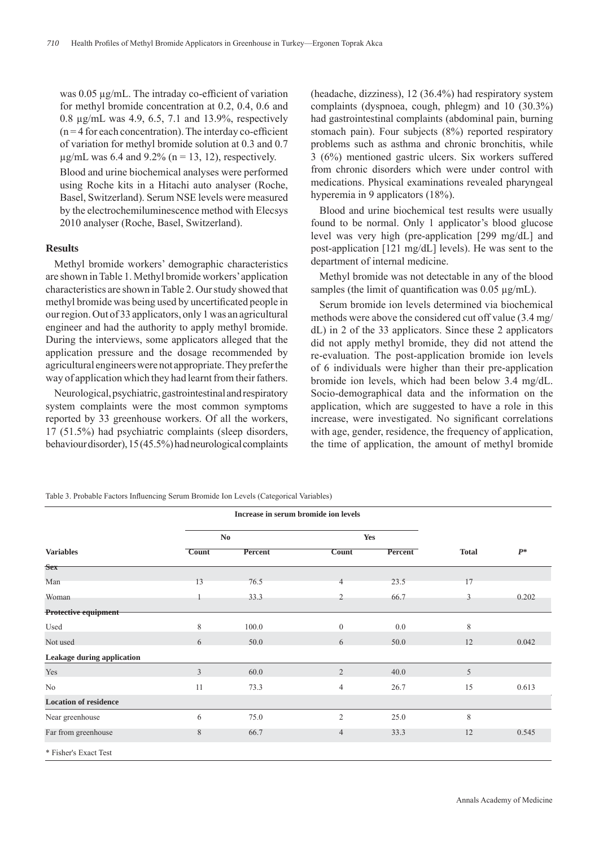was 0.05 μg/mL. The intraday co-efficient of variation for methyl bromide concentration at 0.2, 0.4, 0.6 and 0.8 μg/mL was 4.9, 6.5, 7.1 and 13.9%, respectively  $(n = 4$  for each concentration). The interday co-efficient of variation for methyl bromide solution at 0.3 and 0.7  $\mu$ g/mL was 6.4 and 9.2% (n = 13, 12), respectively. Blood and urine biochemical analyses were performed using Roche kits in a Hitachi auto analyser (Roche, Basel, Switzerland). Serum NSE levels were measured by the electrochemiluminescence method with Elecsys 2010 analyser (Roche, Basel, Switzerland).

# **Results**

Methyl bromide workers' demographic characteristics are shown in Table 1. Methyl bromide workers' application characteristics are shown in Table 2. Our study showed that methyl bromide was being used by uncertificated people in our region. Out of 33 applicators, only 1 was an agricultural engineer and had the authority to apply methyl bromide. During the interviews, some applicators alleged that the application pressure and the dosage recommended by agricultural engineers were not appropriate. They prefer the way of application which they had learnt from their fathers.

Neurological, psychiatric, gastrointestinal and respiratory system complaints were the most common symptoms reported by 33 greenhouse workers. Of all the workers, 17 (51.5%) had psychiatric complaints (sleep disorders, behaviour disorder), 15 (45.5%) had neurological complaints

(headache, dizziness), 12 (36.4%) had respiratory system complaints (dyspnoea, cough, phlegm) and 10 (30.3%) had gastrointestinal complaints (abdominal pain, burning stomach pain). Four subjects (8%) reported respiratory problems such as asthma and chronic bronchitis, while 3 (6%) mentioned gastric ulcers. Six workers suffered from chronic disorders which were under control with medications. Physical examinations revealed pharyngeal hyperemia in 9 applicators (18%).

Blood and urine biochemical test results were usually found to be normal. Only 1 applicator's blood glucose level was very high (pre-application [299 mg/dL] and post-application [121 mg/dL] levels). He was sent to the department of internal medicine.

Methyl bromide was not detectable in any of the blood samples (the limit of quantification was  $0.05 \mu g/mL$ ).

Serum bromide ion levels determined via biochemical methods were above the considered cut off value (3.4 mg/ dL) in 2 of the 33 applicators. Since these 2 applicators did not apply methyl bromide, they did not attend the re-evaluation. The post-application bromide ion levels of 6 individuals were higher than their pre-application bromide ion levels, which had been below 3.4 mg/dL. Socio-demographical data and the information on the application, which are suggested to have a role in this increase, were investigated. No significant correlations with age, gender, residence, the frequency of application, the time of application, the amount of methyl bromide

Table 3. Probable Factors Influencing Serum Bromide Ion Levels (Categorical Variables)

|                              | Increase in serum bromide ion levels |                |                  |         |              |       |
|------------------------------|--------------------------------------|----------------|------------------|---------|--------------|-------|
|                              |                                      | N <sub>0</sub> |                  | Yes     |              |       |
| <b>Variables</b>             | Count                                | Percent        | <b>Count</b>     | Percent | <b>Total</b> | $P^*$ |
| <b>Sex</b>                   |                                      |                |                  |         |              |       |
| Man                          | 13                                   | 76.5           | 4                | 23.5    | 17           |       |
| Woman                        |                                      | 33.3           | $\overline{2}$   | 66.7    | 3            | 0.202 |
| Protective equipment         |                                      |                |                  |         |              |       |
| Used                         | 8                                    | 100.0          | $\boldsymbol{0}$ | 0.0     | 8            |       |
| Not used                     | 6                                    | 50.0           | 6                | 50.0    | 12           | 0.042 |
| Leakage during application   |                                      |                |                  |         |              |       |
| Yes                          | 3                                    | 60.0           | $\overline{2}$   | 40.0    | 5            |       |
| N <sub>o</sub>               | 11                                   | 73.3           | $\overline{4}$   | 26.7    | 15           | 0.613 |
| <b>Location of residence</b> |                                      |                |                  |         |              |       |
| Near greenhouse              | 6                                    | 75.0           | $\overline{c}$   | 25.0    | 8            |       |
| Far from greenhouse          | 8                                    | 66.7           | $\overline{4}$   | 33.3    | 12           | 0.545 |
| * Fisher's Exact Test        |                                      |                |                  |         |              |       |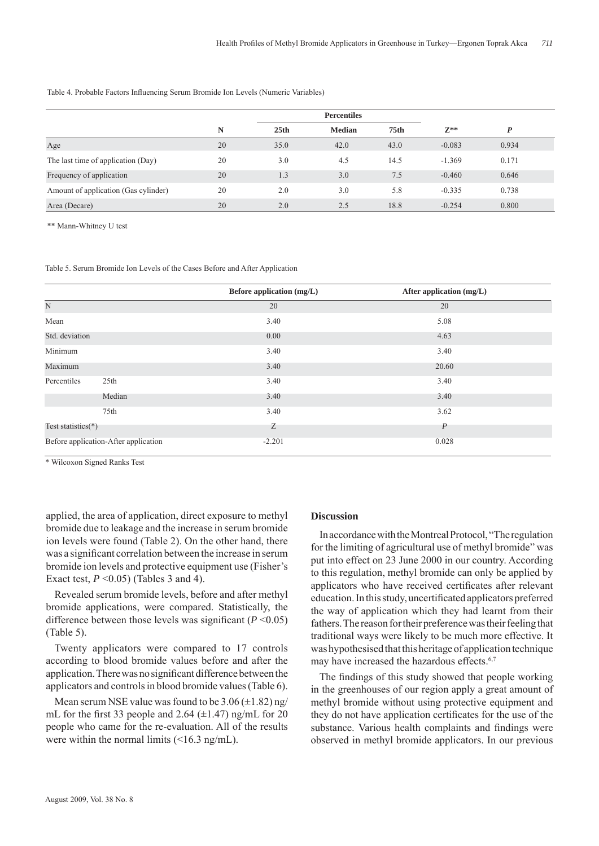#### Table 4. Probable Factors Influencing Serum Bromide Ion Levels (Numeric Variables)

|                                      |    | <b>Percentiles</b> |               |                  |          |                  |  |
|--------------------------------------|----|--------------------|---------------|------------------|----------|------------------|--|
|                                      | N  | 25th               | <b>Median</b> | 75 <sub>th</sub> | $Z^{**}$ | $\boldsymbol{p}$ |  |
| Age                                  | 20 | 35.0               | 42.0          | 43.0             | $-0.083$ | 0.934            |  |
| The last time of application (Day)   | 20 | 3.0                | 4.5           | 14.5             | $-1.369$ | 0.171            |  |
| Frequency of application             | 20 | 1.3                | 3.0           | 7.5              | $-0.460$ | 0.646            |  |
| Amount of application (Gas cylinder) | 20 | 2.0                | 3.0           | 5.8              | $-0.335$ | 0.738            |  |
| Area (Decare)                        | 20 | 2.0                | 2.5           | 18.8             | $-0.254$ | 0.800            |  |

\*\* Mann-Whitney U test

Table 5. Serum Bromide Ion Levels of the Cases Before and After Application

|                                      |        | Before application (mg/L) | After application (mg/L) |  |
|--------------------------------------|--------|---------------------------|--------------------------|--|
| $\mathbf N$                          |        | 20                        | 20                       |  |
| Mean                                 |        | 3.40                      | 5.08                     |  |
| Std. deviation                       |        | 0.00                      | 4.63                     |  |
| Minimum                              |        | 3.40                      | 3.40                     |  |
| Maximum                              |        | 3.40                      | 20.60                    |  |
| Percentiles                          | 25th   | 3.40                      | 3.40                     |  |
|                                      | Median | 3.40                      | 3.40                     |  |
|                                      | 75th   | 3.40                      | 3.62                     |  |
| Test statistics( $*$ )               |        | Ζ                         | P                        |  |
| Before application-After application |        | $-2.201$                  | 0.028                    |  |

\* Wilcoxon Signed Ranks Test

applied, the area of application, direct exposure to methyl bromide due to leakage and the increase in serum bromide ion levels were found (Table 2). On the other hand, there was a significant correlation between the increase in serum bromide ion levels and protective equipment use (Fisher's Exact test,  $P \le 0.05$ ) (Tables 3 and 4).

Revealed serum bromide levels, before and after methyl bromide applications, were compared. Statistically, the difference between those levels was significant  $(P \le 0.05)$ (Table 5).

Twenty applicators were compared to 17 controls according to blood bromide values before and after the application. There was no significant difference between the applicators and controls in blood bromide values (Table 6).

Mean serum NSE value was found to be  $3.06 \times 1.82$  ng/ mL for the first 33 people and 2.64  $(\pm 1.47)$  ng/mL for 20 people who came for the re-evaluation. All of the results were within the normal limits (<16.3 ng/mL).

# **Discussion**

In accordance with the Montreal Protocol, "The regulation for the limiting of agricultural use of methyl bromide" was put into effect on 23 June 2000 in our country. According to this regulation, methyl bromide can only be applied by applicators who have received certificates after relevant education. In this study, uncertificated applicators preferred the way of application which they had learnt from their fathers. The reason for their preference was their feeling that traditional ways were likely to be much more effective. It was hypothesised that this heritage of application technique may have increased the hazardous effects.<sup>6,7</sup>

The findings of this study showed that people working in the greenhouses of our region apply a great amount of methyl bromide without using protective equipment and they do not have application certificates for the use of the substance. Various health complaints and findings were observed in methyl bromide applicators. In our previous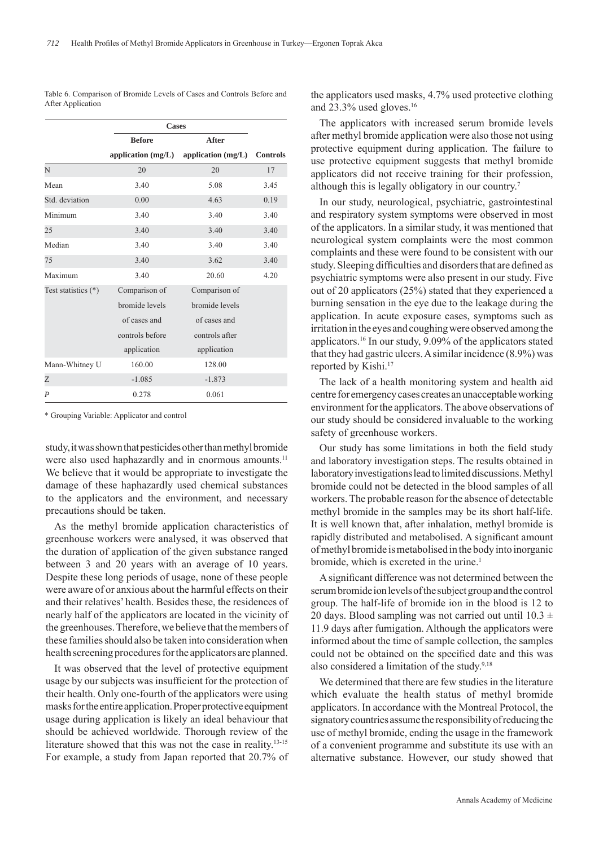|                     | <b>Cases</b>         |                      |                 |
|---------------------|----------------------|----------------------|-----------------|
|                     | <b>Before</b>        | <b>After</b>         |                 |
|                     | application $(mg/L)$ | application $(mg/L)$ | <b>Controls</b> |
| N                   | 20                   | 20                   | 17              |
| Mean                | 3.40                 | 5.08                 | 3.45            |
| Std. deviation      | 0.00                 | 4.63                 | 0.19            |
| Minimum             | 3.40                 | 3.40                 | 3.40            |
| 25                  | 3.40                 | 3.40                 | 3.40            |
| Median              | 3.40                 | 3.40                 | 3.40            |
| 75                  | 3.40                 | 3.62                 | 3.40            |
| Maximum             | 3.40                 | 20.60                | 4.20            |
| Test statistics (*) | Comparison of        | Comparison of        |                 |
|                     | bromide levels       | bromide levels       |                 |
|                     | of cases and         | of cases and         |                 |
|                     | controls before      | controls after       |                 |
|                     | application          | application          |                 |
| Mann-Whitney U      | 160.00               | 128.00               |                 |
| Z                   | $-1.085$             | $-1.873$             |                 |
| P                   | 0.278                | 0.061                |                 |

Table 6. Comparison of Bromide Levels of Cases and Controls Before and After Application

\* Grouping Variable: Applicator and control

study, it was shown that pesticides other than methyl bromide were also used haphazardly and in enormous amounts.<sup>11</sup> We believe that it would be appropriate to investigate the damage of these haphazardly used chemical substances to the applicators and the environment, and necessary precautions should be taken.

As the methyl bromide application characteristics of greenhouse workers were analysed, it was observed that the duration of application of the given substance ranged between 3 and 20 years with an average of 10 years. Despite these long periods of usage, none of these people were aware of or anxious about the harmful effects on their and their relatives' health. Besides these, the residences of nearly half of the applicators are located in the vicinity of the greenhouses. Therefore, we believe that the members of these families should also be taken into consideration when health screening procedures for the applicators are planned.

It was observed that the level of protective equipment usage by our subjects was insufficient for the protection of their health. Only one-fourth of the applicators were using masks for the entire application. Proper protective equipment usage during application is likely an ideal behaviour that should be achieved worldwide. Thorough review of the literature showed that this was not the case in reality.<sup>13-15</sup> For example, a study from Japan reported that 20.7% of the applicators used masks, 4.7% used protective clothing and 23.3% used gloves.16

The applicators with increased serum bromide levels after methyl bromide application were also those not using protective equipment during application. The failure to use protective equipment suggests that methyl bromide applicators did not receive training for their profession, although this is legally obligatory in our country.7

In our study, neurological, psychiatric, gastrointestinal and respiratory system symptoms were observed in most of the applicators. In a similar study, it was mentioned that neurological system complaints were the most common complaints and these were found to be consistent with our study. Sleeping difficulties and disorders that are defined as psychiatric symptoms were also present in our study. Five out of 20 applicators (25%) stated that they experienced a burning sensation in the eye due to the leakage during the application. In acute exposure cases, symptoms such as irritation in the eyes and coughing were observed among the applicators.16 In our study, 9.09% of the applicators stated that they had gastric ulcers. A similar incidence (8.9%) was reported by Kishi.17

The lack of a health monitoring system and health aid centre for emergency cases creates an unacceptable working environment for the applicators. The above observations of our study should be considered invaluable to the working safety of greenhouse workers.

Our study has some limitations in both the field study and laboratory investigation steps. The results obtained in laboratory investigations lead to limited discussions. Methyl bromide could not be detected in the blood samples of all workers. The probable reason for the absence of detectable methyl bromide in the samples may be its short half-life. It is well known that, after inhalation, methyl bromide is rapidly distributed and metabolised. A significant amount of methyl bromide is metabolised in the body into inorganic bromide, which is excreted in the urine.<sup>1</sup>

A significant difference was not determined between the serum bromide ion levels of the subject group and the control group. The half-life of bromide ion in the blood is 12 to 20 days. Blood sampling was not carried out until  $10.3 \pm$ 11.9 days after fumigation. Although the applicators were informed about the time of sample collection, the samples could not be obtained on the specified date and this was also considered a limitation of the study.9,18

We determined that there are few studies in the literature which evaluate the health status of methyl bromide applicators. In accordance with the Montreal Protocol, the signatory countries assume the responsibility of reducing the use of methyl bromide, ending the usage in the framework of a convenient programme and substitute its use with an alternative substance. However, our study showed that